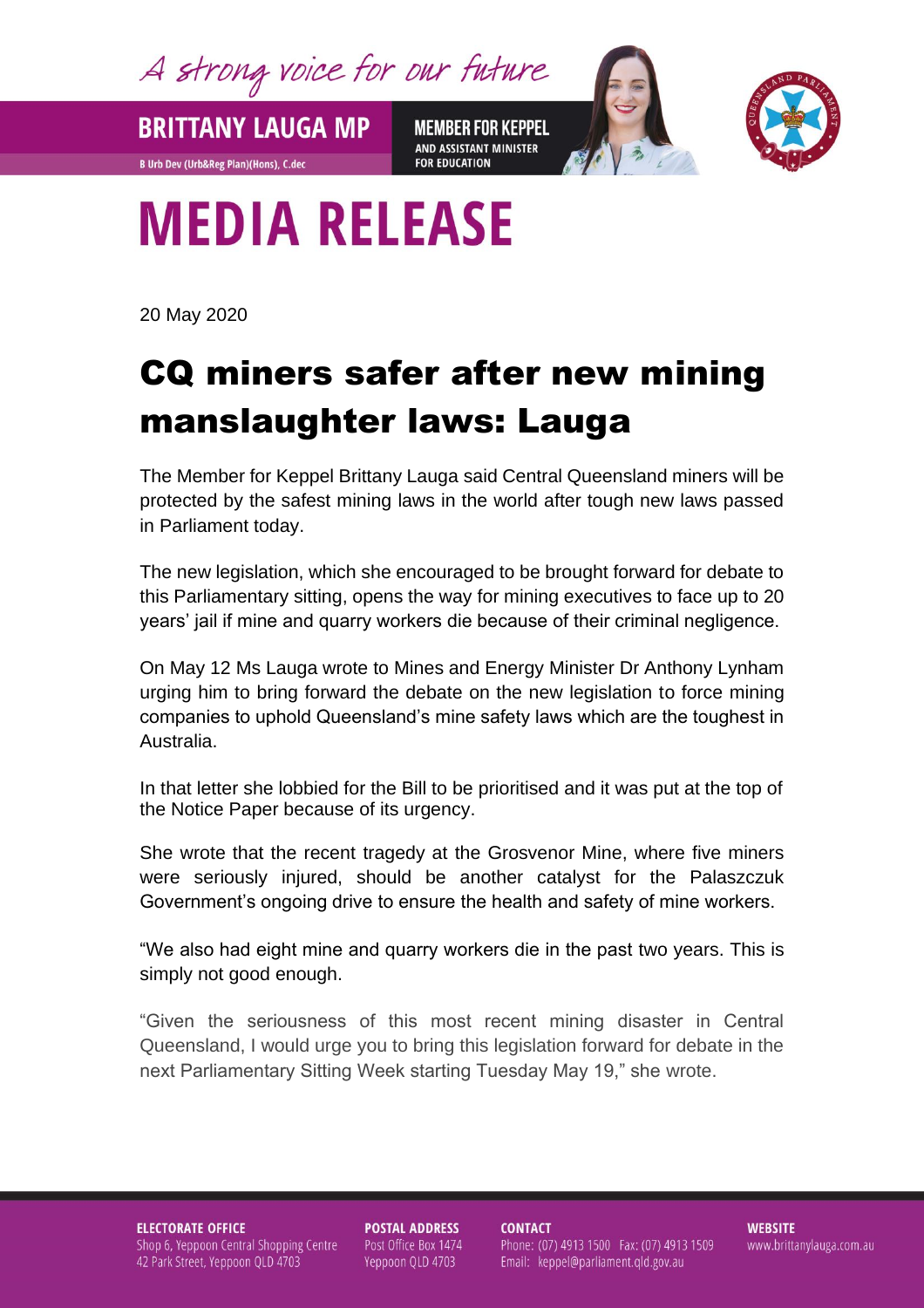A strong voice for our future

**BRITTANY LAUGA MP** 

**B Urb Dev (Urb&Reg Plan)(Hons), C.dec** 

**MEMBER FOR KEPPEL** AND ASSISTANT MINISTER **FOR EDUCATION** 



## **MEDIA RELEASE**

20 May 2020

## CQ miners safer after new mining manslaughter laws: Lauga

The Member for Keppel Brittany Lauga said Central Queensland miners will be protected by the safest mining laws in the world after tough new laws passed in Parliament today.

The new legislation, which she encouraged to be brought forward for debate to this Parliamentary sitting, opens the way for mining executives to face up to 20 years' jail if mine and quarry workers die because of their criminal negligence.

On May 12 Ms Lauga wrote to Mines and Energy Minister Dr Anthony Lynham urging him to bring forward the debate on the new legislation to force mining companies to uphold Queensland's mine safety laws which are the toughest in Australia.

In that letter she lobbied for the Bill to be prioritised and it was put at the top of the Notice Paper because of its urgency.

She wrote that the recent tragedy at the Grosvenor Mine, where five miners were seriously injured, should be another catalyst for the Palaszczuk Government's ongoing drive to ensure the health and safety of mine workers.

"We also had eight mine and quarry workers die in the past two years. This is simply not good enough.

"Given the seriousness of this most recent mining disaster in Central Queensland, I would urge you to bring this legislation forward for debate in the next Parliamentary Sitting Week starting Tuesday May 19," she wrote.

**ELECTORATE OFFICE** Shop 6, Yeppoon Central Shopping Centre 42 Park Street, Yeppoon QLD 4703

**POSTAL ADDRESS** Post Office Box 1474 Yeppoon QLD 4703

**CONTACT** Phone: (07) 4913 1500 Fax: (07) 4913 1509 Email: keppel@parliament.qld.gov.au

**WEBSITE** www.brittanylauga.com.au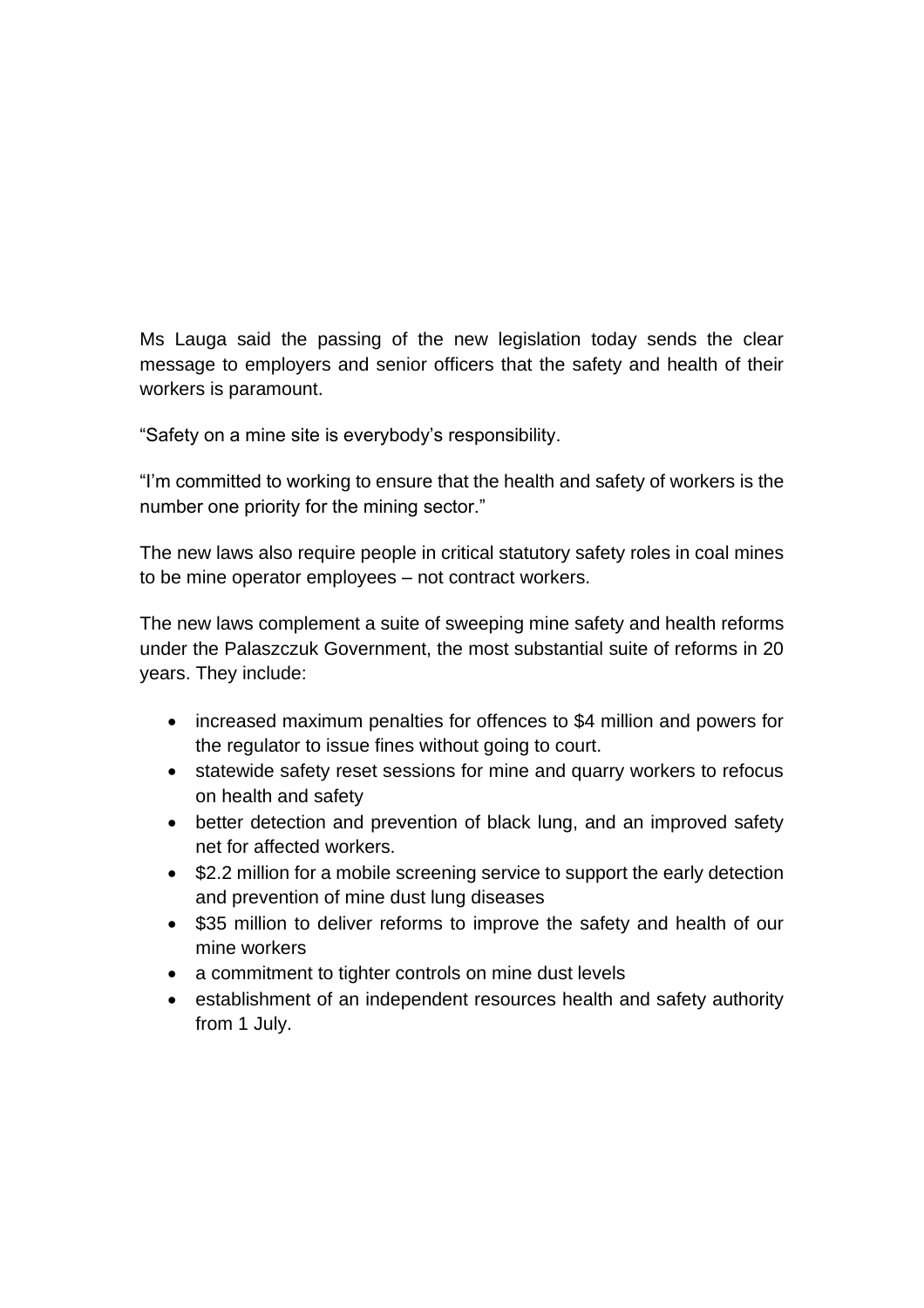Ms Lauga said the passing of the new legislation today sends the clear message to employers and senior officers that the safety and health of their workers is paramount.

"Safety on a mine site is everybody's responsibility.

"I'm committed to working to ensure that the health and safety of workers is the number one priority for the mining sector."

The new laws also require people in critical statutory safety roles in coal mines to be mine operator employees – not contract workers.

The new laws complement a suite of sweeping mine safety and health reforms under the Palaszczuk Government, the most substantial suite of reforms in 20 years. They include:

- increased maximum penalties for offences to \$4 million and powers for the regulator to issue fines without going to court.
- statewide safety reset sessions for mine and quarry workers to refocus on health and safety
- better detection and prevention of black lung, and an improved safety net for affected workers.
- \$2.2 million for a mobile screening service to support the early detection and prevention of mine dust lung diseases
- \$35 million to deliver reforms to improve the safety and health of our mine workers
- a commitment to tighter controls on mine dust levels
- establishment of an independent resources health and safety authority from 1 July.